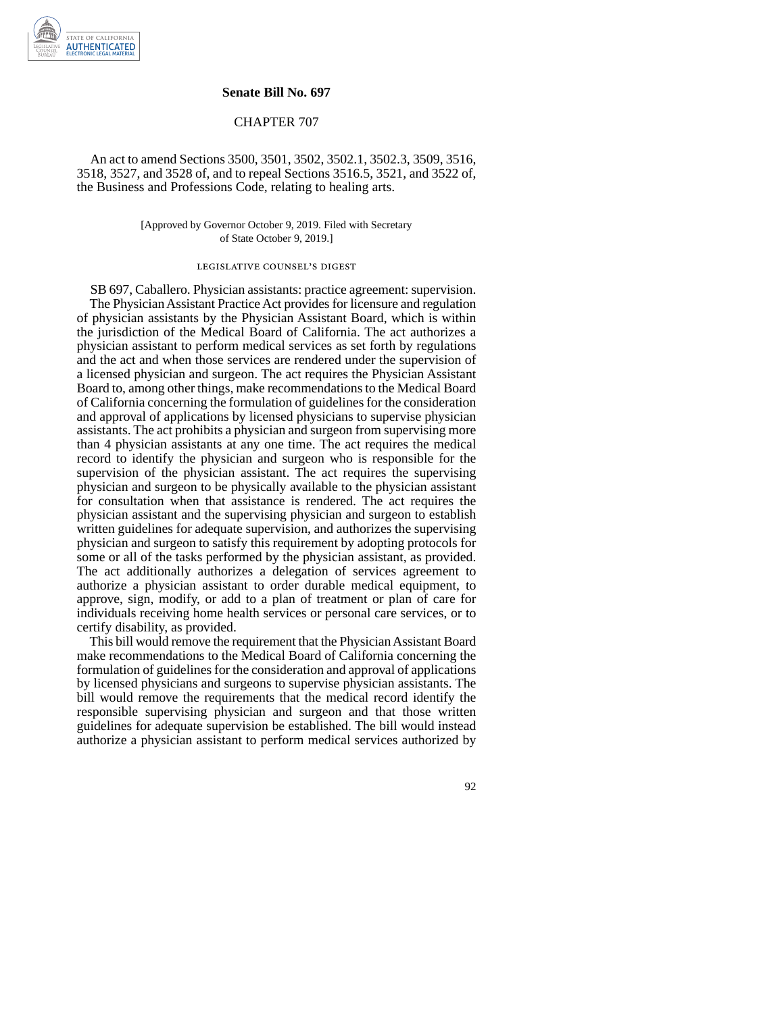

## **Senate Bill No. 697**

## CHAPTER 707

An act to amend Sections 3500, 3501, 3502, 3502.1, 3502.3, 3509, 3516, 3518, 3527, and 3528 of, and to repeal Sections 3516.5, 3521, and 3522 of, the Business and Professions Code, relating to healing arts.

> [Approved by Governor October 9, 2019. Filed with Secretary of State October 9, 2019.]

## legislative counsel' s digest

SB 697, Caballero. Physician assistants: practice agreement: supervision. The Physician Assistant Practice Act provides for licensure and regulation of physician assistants by the Physician Assistant Board, which is within the jurisdiction of the Medical Board of California. The act authorizes a physician assistant to perform medical services as set forth by regulations and the act and when those services are rendered under the supervision of a licensed physician and surgeon. The act requires the Physician Assistant Board to, among other things, make recommendations to the Medical Board of California concerning the formulation of guidelines for the consideration and approval of applications by licensed physicians to supervise physician assistants. The act prohibits a physician and surgeon from supervising more than 4 physician assistants at any one time. The act requires the medical record to identify the physician and surgeon who is responsible for the supervision of the physician assistant. The act requires the supervising physician and surgeon to be physically available to the physician assistant for consultation when that assistance is rendered. The act requires the physician assistant and the supervising physician and surgeon to establish written guidelines for adequate supervision, and authorizes the supervising physician and surgeon to satisfy this requirement by adopting protocols for some or all of the tasks performed by the physician assistant, as provided. The act additionally authorizes a delegation of services agreement to authorize a physician assistant to order durable medical equipment, to approve, sign, modify, or add to a plan of treatment or plan of care for individuals receiving home health services or personal care services, or to certify disability, as provided.

This bill would remove the requirement that the Physician Assistant Board make recommendations to the Medical Board of California concerning the formulation of guidelines for the consideration and approval of applications by licensed physicians and surgeons to supervise physician assistants. The bill would remove the requirements that the medical record identify the responsible supervising physician and surgeon and that those written guidelines for adequate supervision be established. The bill would instead authorize a physician assistant to perform medical services authorized by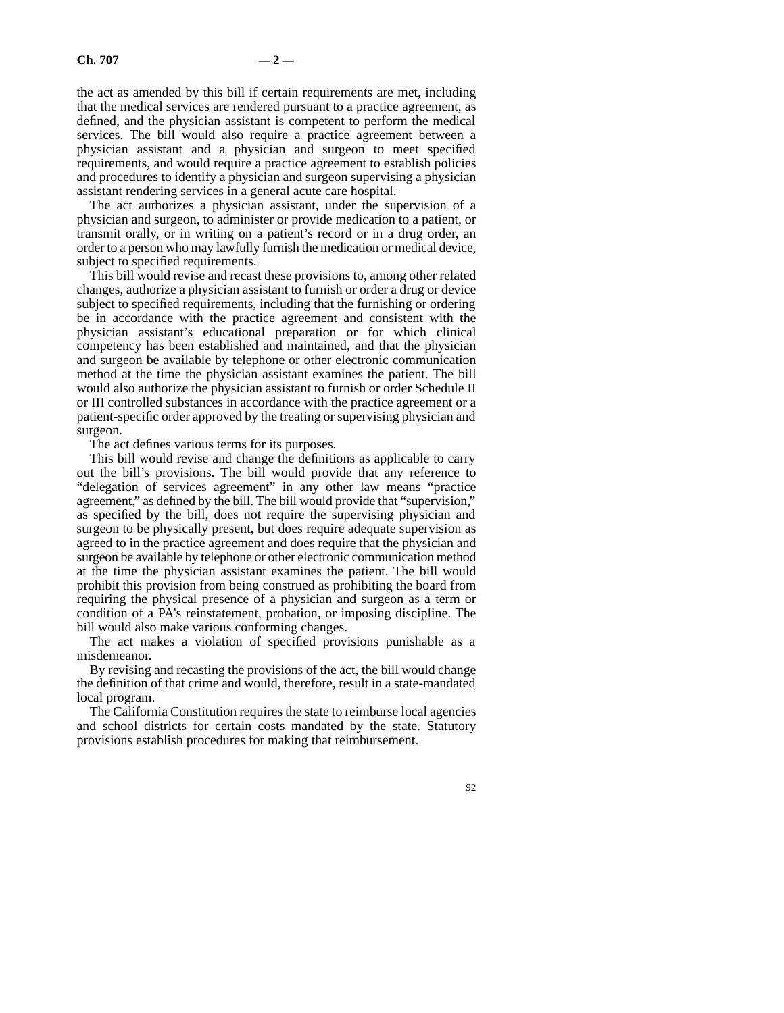the act as amended by this bill if certain requirements are met, including that the medical services are rendered pursuant to a practice agreement, as defined, and the physician assistant is competent to perform the medical services. The bill would also require a practice agreement between a physician assistant and a physician and surgeon to meet specified requirements, and would require a practice agreement to establish policies and procedures to identify a physician and surgeon supervising a physician assistant rendering services in a general acute care hospital.

The act authorizes a physician assistant, under the supervision of a physician and surgeon, to administer or provide medication to a patient, or transmit orally, or in writing on a patient's record or in a drug order, an order to a person who may lawfully furnish the medication or medical device, subject to specified requirements.

This bill would revise and recast these provisions to, among other related changes, authorize a physician assistant to furnish or order a drug or device subject to specified requirements, including that the furnishing or ordering be in accordance with the practice agreement and consistent with the physician assistant's educational preparation or for which clinical competency has been established and maintained, and that the physician and surgeon be available by telephone or other electronic communication method at the time the physician assistant examines the patient. The bill would also authorize the physician assistant to furnish or order Schedule II or III controlled substances in accordance with the practice agreement or a patient-specific order approved by the treating or supervising physician and surgeon.

The act defines various terms for its purposes.

This bill would revise and change the definitions as applicable to carry out the bill's provisions. The bill would provide that any reference to "delegation of services agreement" in any other law means "practice agreement," as defined by the bill. The bill would provide that "supervision," as specified by the bill, does not require the supervising physician and surgeon to be physically present, but does require adequate supervision as agreed to in the practice agreement and does require that the physician and surgeon be available by telephone or other electronic communication method at the time the physician assistant examines the patient. The bill would prohibit this provision from being construed as prohibiting the board from requiring the physical presence of a physician and surgeon as a term or condition of a PA's reinstatement, probation, or imposing discipline. The bill would also make various conforming changes.

The act makes a violation of specified provisions punishable as a misdemeanor.

By revising and recasting the provisions of the act, the bill would change the definition of that crime and would, therefore, result in a state-mandated local program.

The California Constitution requires the state to reimburse local agencies and school districts for certain costs mandated by the state. Statutory provisions establish procedures for making that reimbursement.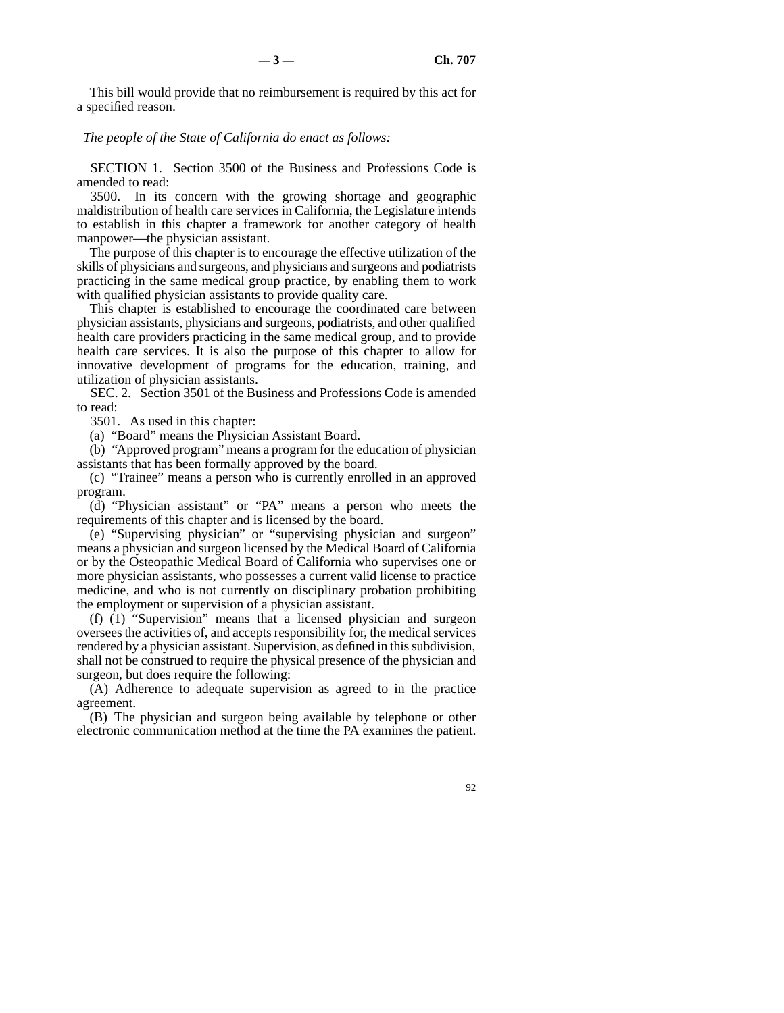This bill would provide that no reimbursement is required by this act for a specified reason.

*The people of the State of California do enact as follows:* 

SECTION 1. Section 3500 of the Business and Professions Code is amended to read:

3500. In its concern with the growing shortage and geographic maldistribution of health care services in California, the Legislature intends to establish in this chapter a framework for another category of health manpower—the physician assistant.

The purpose of this chapter is to encourage the effective utilization of the skills of physicians and surgeons, and physicians and surgeons and podiatrists practicing in the same medical group practice, by enabling them to work with qualified physician assistants to provide quality care.

This chapter is established to encourage the coordinated care between physician assistants, physicians and surgeons, podiatrists, and other qualified health care providers practicing in the same medical group, and to provide health care services. It is also the purpose of this chapter to allow for innovative development of programs for the education, training, and utilization of physician assistants.

SEC. 2. Section 3501 of the Business and Professions Code is amended to read:

3501. As used in this chapter:

(a) "Board" means the Physician Assistant Board.

(b) "Approved program" means a program for the education of physician assistants that has been formally approved by the board.

(c) "Trainee" means a person who is currently enrolled in an approved program.

(d) "Physician assistant" or "PA" means a person who meets the requirements of this chapter and is licensed by the board.

(e) "Supervising physician" or "supervising physician and surgeon" means a physician and surgeon licensed by the Medical Board of California or by the Osteopathic Medical Board of California who supervises one or more physician assistants, who possesses a current valid license to practice medicine, and who is not currently on disciplinary probation prohibiting the employment or supervision of a physician assistant.

(f) (1) "Supervision" means that a licensed physician and surgeon oversees the activities of, and accepts responsibility for, the medical services rendered by a physician assistant. Supervision, as defined in this subdivision, shall not be construed to require the physical presence of the physician and surgeon, but does require the following:

(A) Adherence to adequate supervision as agreed to in the practice agreement.

(B) The physician and surgeon being available by telephone or other electronic communication method at the time the PA examines the patient.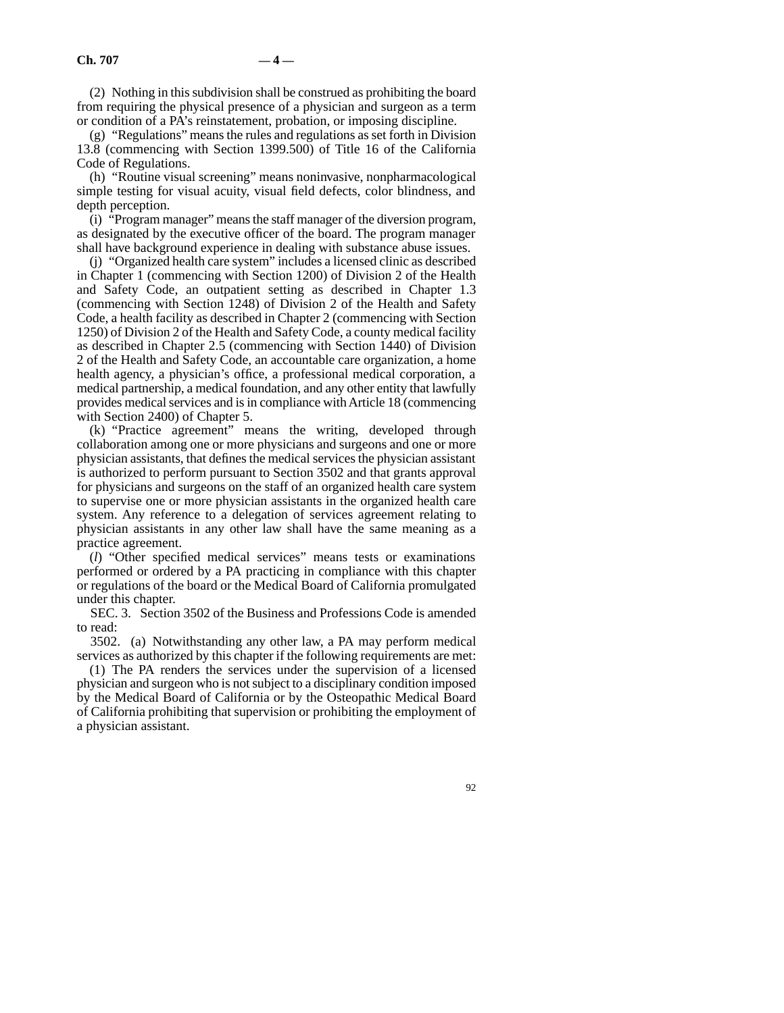(2) Nothing in this subdivision shall be construed as prohibiting the board from requiring the physical presence of a physician and surgeon as a term or condition of a PA's reinstatement, probation, or imposing discipline.

(g) "Regulations" means the rules and regulations as set forth in Division 13.8 (commencing with Section 1399.500) of Title 16 of the California Code of Regulations.

(h) "Routine visual screening" means noninvasive, nonpharmacological simple testing for visual acuity, visual field defects, color blindness, and depth perception.

(i) "Program manager" means the staff manager of the diversion program, as designated by the executive officer of the board. The program manager shall have background experience in dealing with substance abuse issues.

(j) "Organized health care system" includes a licensed clinic as described in Chapter 1 (commencing with Section 1200) of Division 2 of the Health and Safety Code, an outpatient setting as described in Chapter 1.3 (commencing with Section 1248) of Division 2 of the Health and Safety Code, a health facility as described in Chapter 2 (commencing with Section 1250) of Division 2 of the Health and Safety Code, a county medical facility as described in Chapter 2.5 (commencing with Section 1440) of Division 2 of the Health and Safety Code, an accountable care organization, a home health agency, a physician's office, a professional medical corporation, a medical partnership, a medical foundation, and any other entity that lawfully provides medical services and is in compliance with Article 18 (commencing with Section 2400) of Chapter 5.

(k) "Practice agreement" means the writing, developed through collaboration among one or more physicians and surgeons and one or more physician assistants, that defines the medical services the physician assistant is authorized to perform pursuant to Section 3502 and that grants approval for physicians and surgeons on the staff of an organized health care system to supervise one or more physician assistants in the organized health care system. Any reference to a delegation of services agreement relating to physician assistants in any other law shall have the same meaning as a practice agreement.

(*l*) "Other specified medical services" means tests or examinations performed or ordered by a PA practicing in compliance with this chapter or regulations of the board or the Medical Board of California promulgated under this chapter.

SEC. 3. Section 3502 of the Business and Professions Code is amended to read:

3502. (a) Notwithstanding any other law, a PA may perform medical services as authorized by this chapter if the following requirements are met:

(1) The PA renders the services under the supervision of a licensed physician and surgeon who is not subject to a disciplinary condition imposed by the Medical Board of California or by the Osteopathic Medical Board of California prohibiting that supervision or prohibiting the employment of a physician assistant.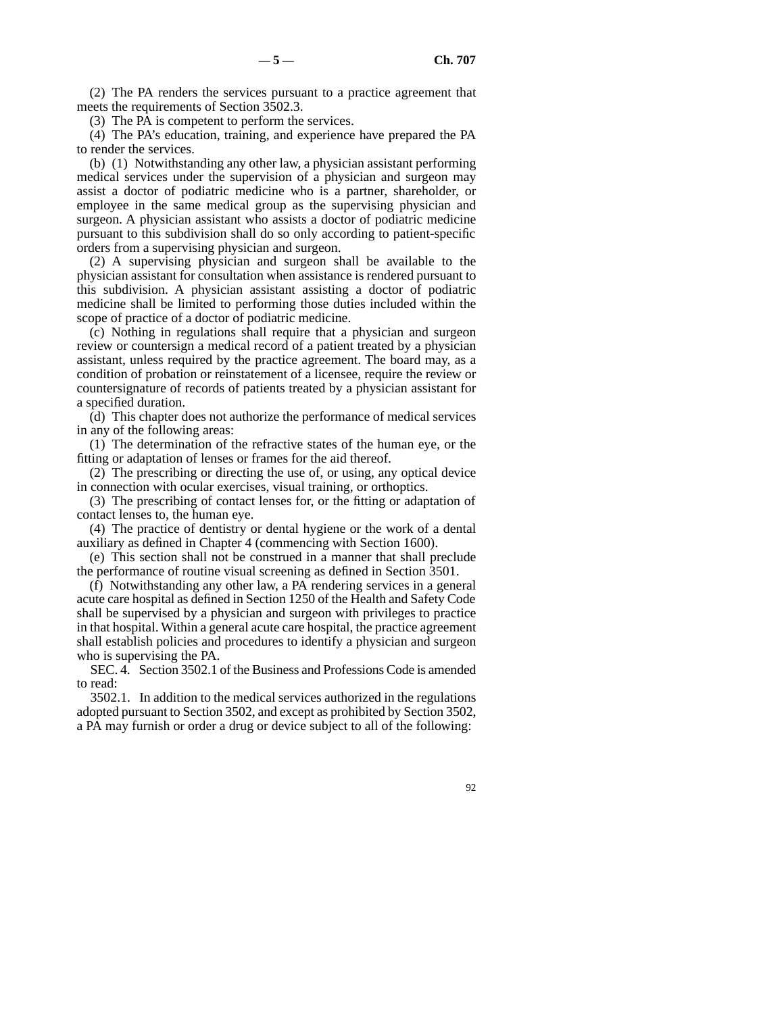(2) The PA renders the services pursuant to a practice agreement that meets the requirements of Section 3502.3.

(3) The PA is competent to perform the services.

(4) The PA's education, training, and experience have prepared the PA to render the services.

(b) (1) Notwithstanding any other law, a physician assistant performing medical services under the supervision of a physician and surgeon may assist a doctor of podiatric medicine who is a partner, shareholder, or employee in the same medical group as the supervising physician and surgeon. A physician assistant who assists a doctor of podiatric medicine pursuant to this subdivision shall do so only according to patient-specific orders from a supervising physician and surgeon.

(2) A supervising physician and surgeon shall be available to the physician assistant for consultation when assistance is rendered pursuant to this subdivision. A physician assistant assisting a doctor of podiatric medicine shall be limited to performing those duties included within the scope of practice of a doctor of podiatric medicine.

(c) Nothing in regulations shall require that a physician and surgeon review or countersign a medical record of a patient treated by a physician assistant, unless required by the practice agreement. The board may, as a condition of probation or reinstatement of a licensee, require the review or countersignature of records of patients treated by a physician assistant for a specified duration.

(d) This chapter does not authorize the performance of medical services in any of the following areas:

(1) The determination of the refractive states of the human eye, or the fitting or adaptation of lenses or frames for the aid thereof.

(2) The prescribing or directing the use of, or using, any optical device in connection with ocular exercises, visual training, or orthoptics.

(3) The prescribing of contact lenses for, or the fitting or adaptation of contact lenses to, the human eye.

(4) The practice of dentistry or dental hygiene or the work of a dental auxiliary as defined in Chapter 4 (commencing with Section 1600).

(e) This section shall not be construed in a manner that shall preclude the performance of routine visual screening as defined in Section 3501.

(f) Notwithstanding any other law, a PA rendering services in a general acute care hospital as defined in Section 1250 of the Health and Safety Code shall be supervised by a physician and surgeon with privileges to practice in that hospital. Within a general acute care hospital, the practice agreement shall establish policies and procedures to identify a physician and surgeon who is supervising the PA.

SEC. 4. Section 3502.1 of the Business and Professions Code is amended to read:

3502.1. In addition to the medical services authorized in the regulations adopted pursuant to Section 3502, and except as prohibited by Section 3502, a PA may furnish or order a drug or device subject to all of the following: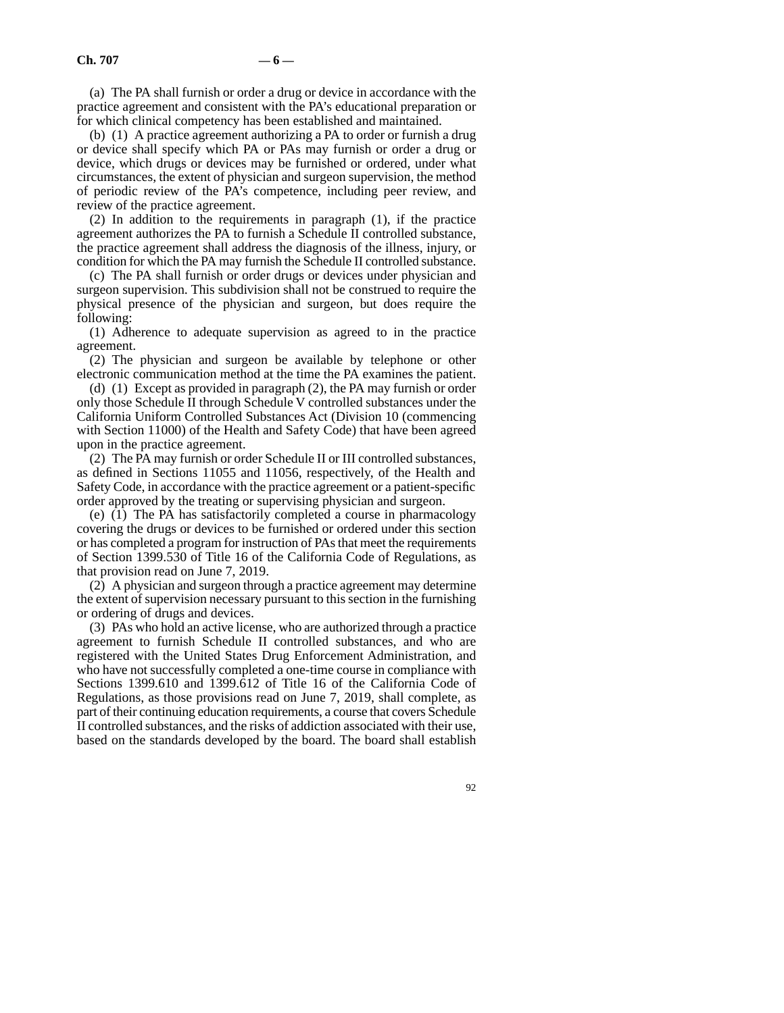(a) The PA shall furnish or order a drug or device in accordance with the practice agreement and consistent with the PA's educational preparation or for which clinical competency has been established and maintained.

(b) (1) A practice agreement authorizing a PA to order or furnish a drug or device shall specify which PA or PAs may furnish or order a drug or device, which drugs or devices may be furnished or ordered, under what circumstances, the extent of physician and surgeon supervision, the method of periodic review of the PA's competence, including peer review, and review of the practice agreement.

(2) In addition to the requirements in paragraph (1), if the practice agreement authorizes the PA to furnish a Schedule II controlled substance, the practice agreement shall address the diagnosis of the illness, injury, or condition for which the PA may furnish the Schedule II controlled substance.

(c) The PA shall furnish or order drugs or devices under physician and surgeon supervision. This subdivision shall not be construed to require the physical presence of the physician and surgeon, but does require the following:

(1) Adherence to adequate supervision as agreed to in the practice agreement.

(2) The physician and surgeon be available by telephone or other electronic communication method at the time the PA examines the patient.

(d) (1) Except as provided in paragraph (2), the PA may furnish or order only those Schedule II through Schedule V controlled substances under the California Uniform Controlled Substances Act (Division 10 (commencing with Section 11000) of the Health and Safety Code) that have been agreed upon in the practice agreement.

(2) The PA may furnish or order Schedule II or III controlled substances, as defined in Sections 11055 and 11056, respectively, of the Health and Safety Code, in accordance with the practice agreement or a patient-specific order approved by the treating or supervising physician and surgeon.

(e) (1) The PA has satisfactorily completed a course in pharmacology covering the drugs or devices to be furnished or ordered under this section or has completed a program for instruction of PAs that meet the requirements of Section 1399.530 of Title 16 of the California Code of Regulations, as that provision read on June 7, 2019.

 $(2)$  A physician and surgeon through a practice agreement may determine the extent of supervision necessary pursuant to this section in the furnishing or ordering of drugs and devices.

(3) PAs who hold an active license, who are authorized through a practice agreement to furnish Schedule II controlled substances, and who are registered with the United States Drug Enforcement Administration, and who have not successfully completed a one-time course in compliance with Sections 1399.610 and 1399.612 of Title 16 of the California Code of Regulations, as those provisions read on June 7, 2019, shall complete, as part of their continuing education requirements, a course that covers Schedule II controlled substances, and the risks of addiction associated with their use, based on the standards developed by the board. The board shall establish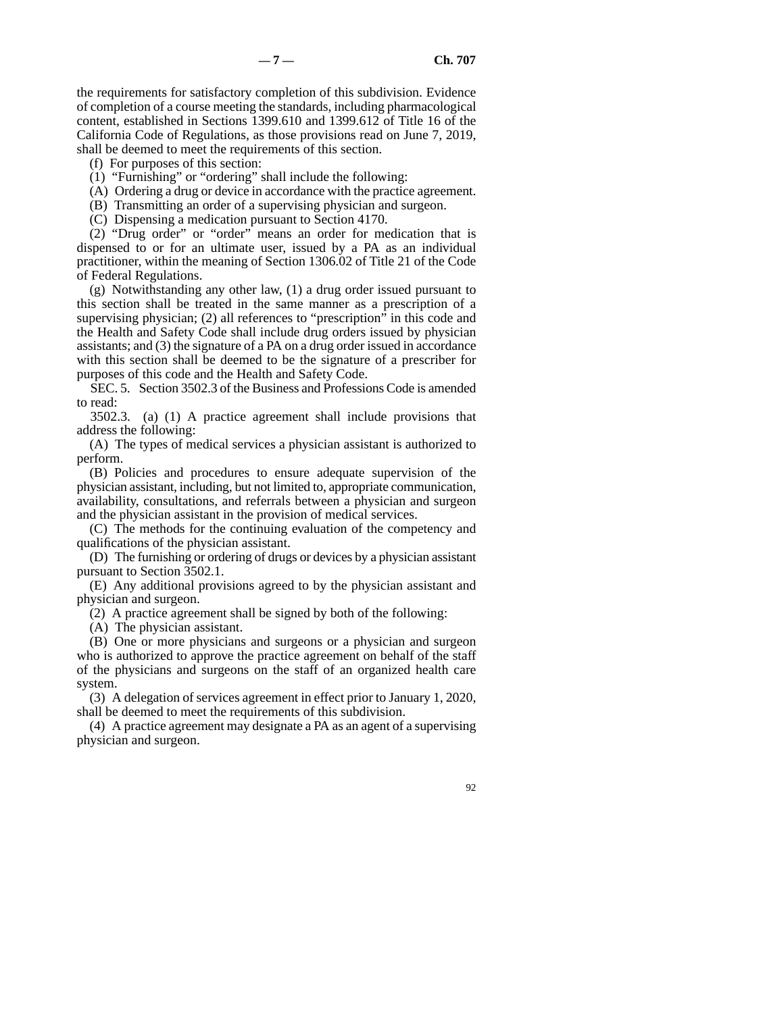the requirements for satisfactory completion of this subdivision. Evidence of completion of a course meeting the standards, including pharmacological content, established in Sections 1399.610 and 1399.612 of Title 16 of the California Code of Regulations, as those provisions read on June 7, 2019, shall be deemed to meet the requirements of this section.

(f) For purposes of this section:

- (1) "Furnishing" or "ordering" shall include the following:
- (A) Ordering a drug or device in accordance with the practice agreement.
- (B) Transmitting an order of a supervising physician and surgeon.
- (C) Dispensing a medication pursuant to Section 4170.

(2) "Drug order" or "order" means an order for medication that is dispensed to or for an ultimate user, issued by a PA as an individual practitioner, within the meaning of Section 1306.02 of Title 21 of the Code of Federal Regulations.

(g) Notwithstanding any other law, (1) a drug order issued pursuant to this section shall be treated in the same manner as a prescription of a supervising physician; (2) all references to "prescription" in this code and the Health and Safety Code shall include drug orders issued by physician assistants; and (3) the signature of a PA on a drug order issued in accordance with this section shall be deemed to be the signature of a prescriber for purposes of this code and the Health and Safety Code.

SEC. 5. Section 3502.3 of the Business and Professions Code is amended to read:

3502.3. (a) (1) A practice agreement shall include provisions that address the following:

(A) The types of medical services a physician assistant is authorized to perform.

(B) Policies and procedures to ensure adequate supervision of the physician assistant, including, but not limited to, appropriate communication, availability, consultations, and referrals between a physician and surgeon and the physician assistant in the provision of medical services.

(C) The methods for the continuing evaluation of the competency and qualifications of the physician assistant.

(D) The furnishing or ordering of drugs or devices by a physician assistant pursuant to Section 3502.1.

(E) Any additional provisions agreed to by the physician assistant and physician and surgeon.

(2) A practice agreement shall be signed by both of the following:

(A) The physician assistant.

(B) One or more physicians and surgeons or a physician and surgeon who is authorized to approve the practice agreement on behalf of the staff of the physicians and surgeons on the staff of an organized health care system.

(3) A delegation of services agreement in effect prior to January 1, 2020, shall be deemed to meet the requirements of this subdivision.

(4) A practice agreement may designate a PA as an agent of a supervising physician and surgeon.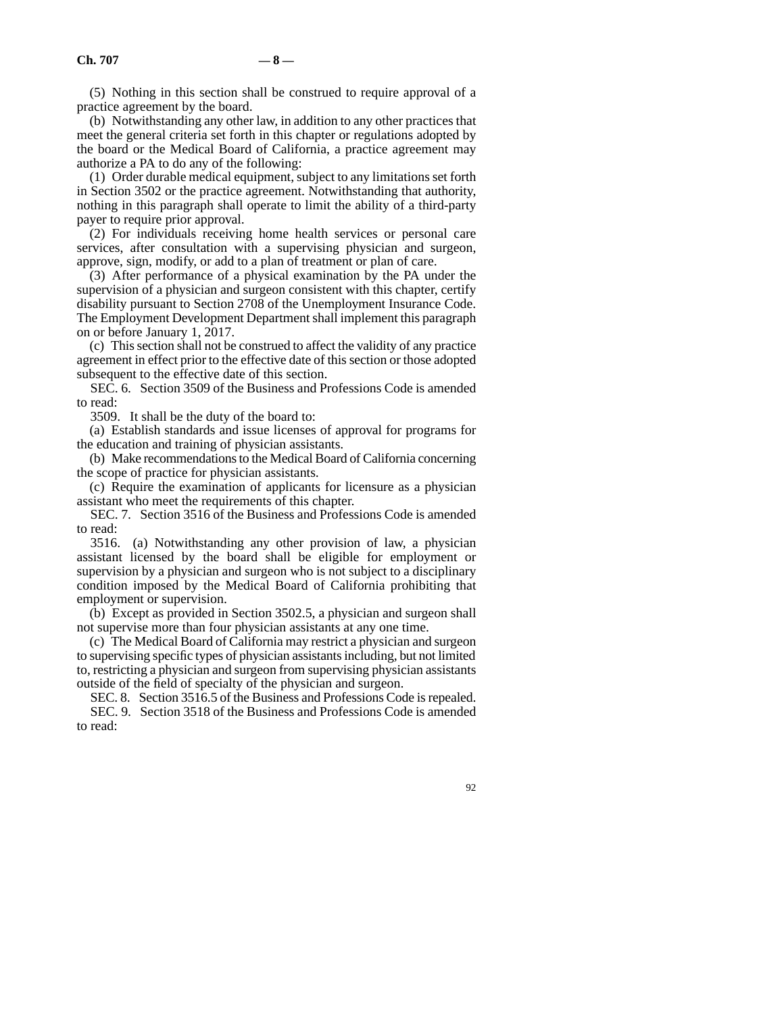(5) Nothing in this section shall be construed to require approval of a practice agreement by the board.

(b) Notwithstanding any other law, in addition to any other practices that meet the general criteria set forth in this chapter or regulations adopted by the board or the Medical Board of California, a practice agreement may authorize a PA to do any of the following:

(1) Order durable medical equipment, subject to any limitations set forth in Section 3502 or the practice agreement. Notwithstanding that authority, nothing in this paragraph shall operate to limit the ability of a third-party payer to require prior approval.

(2) For individuals receiving home health services or personal care services, after consultation with a supervising physician and surgeon, approve, sign, modify, or add to a plan of treatment or plan of care.

(3) After performance of a physical examination by the PA under the supervision of a physician and surgeon consistent with this chapter, certify disability pursuant to Section 2708 of the Unemployment Insurance Code. The Employment Development Department shall implement this paragraph on or before January 1, 2017.

(c) This section shall not be construed to affect the validity of any practice agreement in effect prior to the effective date of this section or those adopted subsequent to the effective date of this section.

SEC. 6. Section 3509 of the Business and Professions Code is amended to read:

3509. It shall be the duty of the board to:

(a) Establish standards and issue licenses of approval for programs for the education and training of physician assistants.

(b) Make recommendations to the Medical Board of California concerning the scope of practice for physician assistants.

(c) Require the examination of applicants for licensure as a physician assistant who meet the requirements of this chapter.

SEC. 7. Section 3516 of the Business and Professions Code is amended to read:

3516. (a) Notwithstanding any other provision of law, a physician assistant licensed by the board shall be eligible for employment or supervision by a physician and surgeon who is not subject to a disciplinary condition imposed by the Medical Board of California prohibiting that employment or supervision.

(b) Except as provided in Section 3502.5, a physician and surgeon shall not supervise more than four physician assistants at any one time.

(c) The Medical Board of California may restrict a physician and surgeon to supervising specific types of physician assistants including, but not limited to, restricting a physician and surgeon from supervising physician assistants outside of the field of specialty of the physician and surgeon.

SEC. 8. Section 3516.5 of the Business and Professions Code is repealed.

SEC. 9. Section 3518 of the Business and Professions Code is amended to read: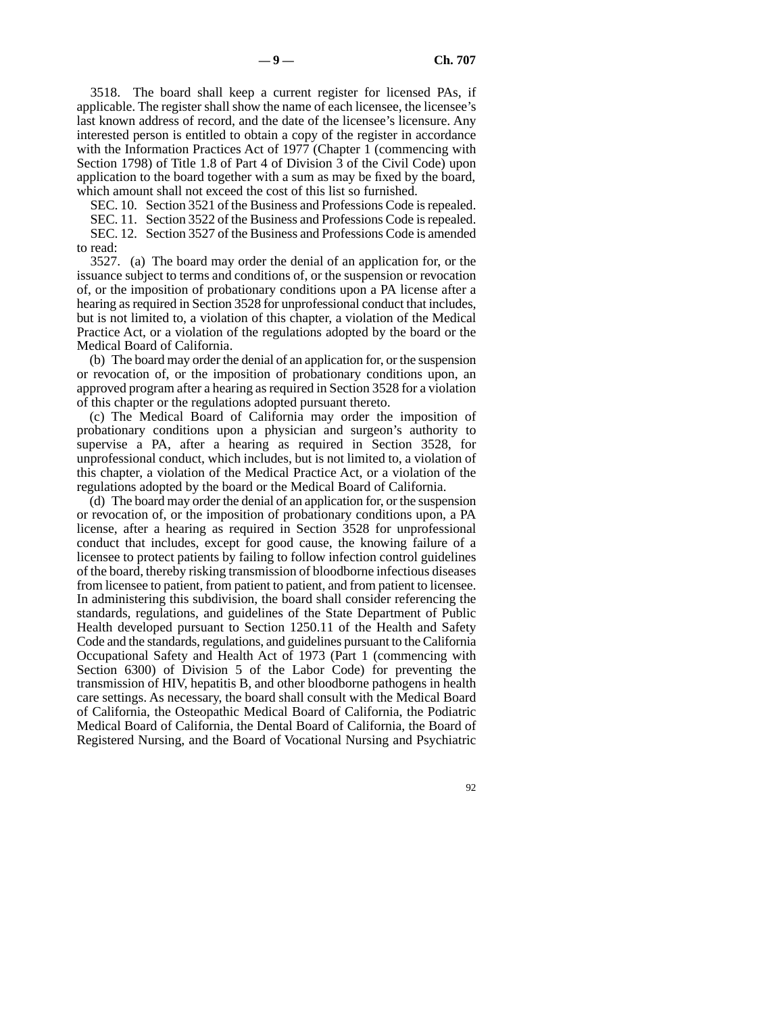3518. The board shall keep a current register for licensed PAs, if applicable. The register shall show the name of each licensee, the licensee's last known address of record, and the date of the licensee's licensure. Any interested person is entitled to obtain a copy of the register in accordance with the Information Practices Act of 1977 (Chapter 1 (commencing with Section 1798) of Title 1.8 of Part 4 of Division 3 of the Civil Code) upon application to the board together with a sum as may be fixed by the board, which amount shall not exceed the cost of this list so furnished.

SEC. 10. Section 3521 of the Business and Professions Code is repealed.

SEC. 11. Section 3522 of the Business and Professions Code is repealed. SEC. 12. Section 3527 of the Business and Professions Code is amended to read:

3527. (a) The board may order the denial of an application for, or the issuance subject to terms and conditions of, or the suspension or revocation of, or the imposition of probationary conditions upon a PA license after a hearing as required in Section 3528 for unprofessional conduct that includes, but is not limited to, a violation of this chapter, a violation of the Medical Practice Act, or a violation of the regulations adopted by the board or the Medical Board of California.

(b) The board may order the denial of an application for, or the suspension or revocation of, or the imposition of probationary conditions upon, an approved program after a hearing as required in Section 3528 for a violation of this chapter or the regulations adopted pursuant thereto.

(c) The Medical Board of California may order the imposition of probationary conditions upon a physician and surgeon's authority to supervise a PA, after a hearing as required in Section 3528, for unprofessional conduct, which includes, but is not limited to, a violation of this chapter, a violation of the Medical Practice Act, or a violation of the regulations adopted by the board or the Medical Board of California.

(d) The board may order the denial of an application for, or the suspension or revocation of, or the imposition of probationary conditions upon, a PA license, after a hearing as required in Section 3528 for unprofessional conduct that includes, except for good cause, the knowing failure of a licensee to protect patients by failing to follow infection control guidelines of the board, thereby risking transmission of bloodborne infectious diseases from licensee to patient, from patient to patient, and from patient to licensee. In administering this subdivision, the board shall consider referencing the standards, regulations, and guidelines of the State Department of Public Health developed pursuant to Section 1250.11 of the Health and Safety Code and the standards, regulations, and guidelines pursuant to the California Occupational Safety and Health Act of 1973 (Part 1 (commencing with Section 6300) of Division 5 of the Labor Code) for preventing the transmission of HIV, hepatitis B, and other bloodborne pathogens in health care settings. As necessary, the board shall consult with the Medical Board of California, the Osteopathic Medical Board of California, the Podiatric Medical Board of California, the Dental Board of California, the Board of Registered Nursing, and the Board of Vocational Nursing and Psychiatric